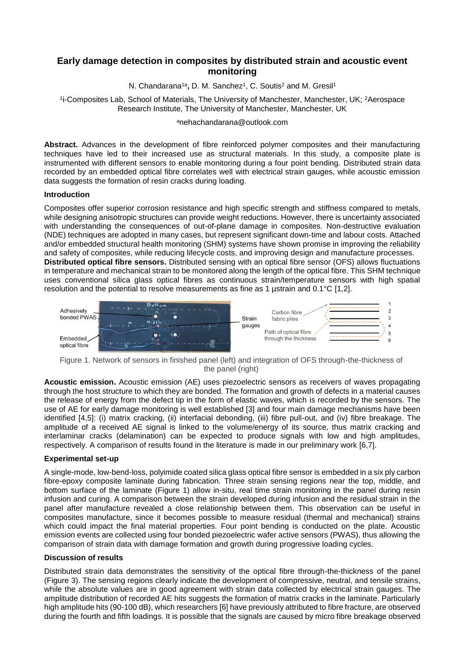# **Early damage detection in composites by distributed strain and acoustic event monitoring**

N. Chandarana<sup>1a</sup>, D. M. Sanchez<sup>1</sup>, C. Soutis<sup>2</sup> and M. Gresil<sup>1</sup>

1 i-Composites Lab, School of Materials, The University of Manchester, Manchester, UK; <sup>2</sup>Aerospace Research Institute, The University of Manchester, Manchester, UK

## <sup>a</sup>nehachandarana@outlook.com

**Abstract.** Advances in the development of fibre reinforced polymer composites and their manufacturing techniques have led to their increased use as structural materials. In this study, a composite plate is instrumented with different sensors to enable monitoring during a four point bending. Distributed strain data recorded by an embedded optical fibre correlates well with electrical strain gauges, while acoustic emission data suggests the formation of resin cracks during loading.

## **Introduction**

Composites offer superior corrosion resistance and high specific strength and stiffness compared to metals, while designing anisotropic structures can provide weight reductions. However, there is uncertainty associated with understanding the consequences of out-of-plane damage in composites. Non-destructive evaluation (NDE) techniques are adopted in many cases, but represent significant down-time and labour costs. Attached and/or embedded structural health monitoring (SHM) systems have shown promise in improving the reliability and safety of composites, while reducing lifecycle costs, and improving design and manufacture processes. **Distributed optical fibre sensors.** Distributed sensing with an optical fibre sensor (OFS) allows fluctuations in temperature and mechanical strain to be monitored along the length of the optical fibre. This SHM technique uses conventional silica glass optical fibres as continuous strain/temperature sensors with high spatial resolution and the potential to resolve measurements as fine as 1 µstrain and 0.1°C [1,2].



<span id="page-0-0"></span>Figure 1. Network of sensors in finished panel (left) and integration of OFS through-the-thickness of the panel (right)

**Acoustic emission.** Acoustic emission (AE) uses piezoelectric sensors as receivers of waves propagating through the host structure to which they are bonded. The formation and growth of defects in a material causes the release of energy from the defect tip in the form of elastic waves, which is recorded by the sensors. The use of AE for early damage monitoring is well established [3] and four main damage mechanisms have been identified [4,5]: (i) matrix cracking, (ii) interfacial debonding, (iii) fibre pull-out, and (iv) fibre breakage. The amplitude of a received AE signal is linked to the volume/energy of its source, thus matrix cracking and interlaminar cracks (delamination) can be expected to produce signals with low and high amplitudes, respectively. A comparison of results found in the literature is made in our preliminary work [6,7].

## **Experimental set-up**

A single-mode, low-bend-loss, polyimide coated silica glass optical fibre sensor is embedded in a six ply carbon fibre-epoxy composite laminate during fabrication. Three strain sensing regions near the top, middle, and bottom surface of the laminate [\(Figure 1\)](#page-0-0) allow in-situ, real time strain monitoring in the panel during resin infusion and curing. A comparison between the strain developed during infusion and the residual strain in the panel after manufacture revealed a close relationship between them. This observation can be useful in composites manufacture, since it becomes possible to measure residual (thermal and mechanical) strains which could impact the final material properties. Four point bending is conducted on the plate. Acoustic emission events are collected using four bonded piezoelectric wafer active sensors (PWAS), thus allowing the comparison of strain data with damage formation and growth during progressive loading cycles.

## **Discussion of results**

Distributed strain data demonstrates the sensitivity of the optical fibre through-the-thickness of the panel [\(Figure 3\)](#page-1-0). The sensing regions clearly indicate the development of compressive, neutral, and tensile strains, while the absolute values are in good agreement with strain data collected by electrical strain gauges. The amplitude distribution of recorded AE hits suggests the formation of matrix cracks in the laminate. Particularly high amplitude hits (90-100 dB), which researchers [6] have previously attributed to fibre fracture, are observed during the fourth and fifth loadings. It is possible that the signals are caused by micro fibre breakage observed